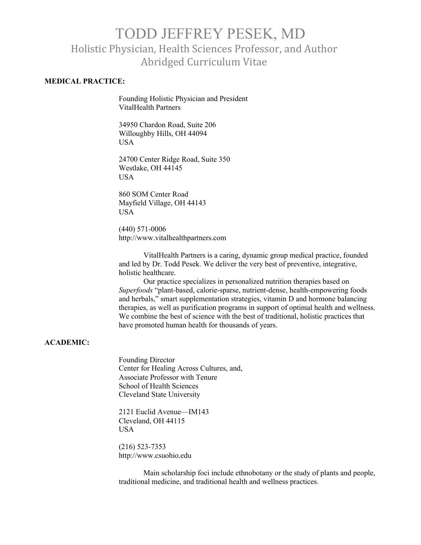# TODD JEFFREY PESEK, MD Holistic Physician, Health Sciences Professor, and Author Abridged Curriculum Vitae

### **MEDICAL PRACTICE:**

Founding Holistic Physician and President VitalHealth Partners

34950 Chardon Road, Suite 206 Willoughby Hills, OH 44094 **USA** 

24700 Center Ridge Road, Suite 350 Westlake, OH 44145 USA

860 SOM Center Road Mayfield Village, OH 44143 USA

(440) 571-0006 http://www.vitalhealthpartners.com

VitalHealth Partners is a caring, dynamic group medical practice, founded and led by Dr. Todd Pesek. We deliver the very best of preventive, integrative, holistic healthcare.

Our practice specializes in personalized nutrition therapies based on *Superfoods* "plant-based, calorie-sparse, nutrient-dense, health-empowering foods and herbals," smart supplementation strategies, vitamin D and hormone balancing therapies, as well as purification programs in support of optimal health and wellness. We combine the best of science with the best of traditional, holistic practices that have promoted human health for thousands of years.

### **ACADEMIC:**

Founding Director Center for Healing Across Cultures, and, Associate Professor with Tenure School of Health Sciences Cleveland State University

2121 Euclid Avenue—IM143 Cleveland, OH 44115 USA

(216) 523-7353 http://www.csuohio.edu

Main scholarship foci include ethnobotany or the study of plants and people, traditional medicine, and traditional health and wellness practices.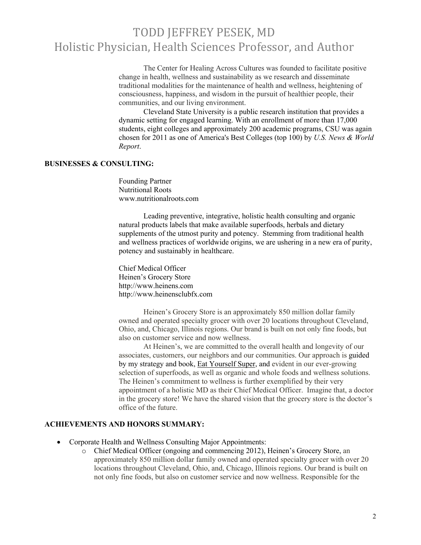The Center for Healing Across Cultures was founded to facilitate positive change in health, wellness and sustainability as we research and disseminate traditional modalities for the maintenance of health and wellness, heightening of consciousness, happiness, and wisdom in the pursuit of healthier people, their communities, and our living environment.

Cleveland State University is a public research institution that provides a dynamic setting for engaged learning. With an enrollment of more than 17,000 students, eight colleges and approximately 200 academic programs, CSU was again chosen for 2011 as one of America's Best Colleges (top 100) by *U.S. News & World Report*.

### **BUSINESSES & CONSULTING:**

Founding Partner Nutritional Roots www.nutritionalroots.com

Leading preventive, integrative, holistic health consulting and organic natural products labels that make available superfoods, herbals and dietary supplements of the utmost purity and potency. Stemming from traditional health and wellness practices of worldwide origins, we are ushering in a new era of purity, potency and sustainably in healthcare.

Chief Medical Officer Heinen's Grocery Store http://www.heinens.com http://www.heinensclubfx.com

Heinen's Grocery Store is an approximately 850 million dollar family owned and operated specialty grocer with over 20 locations throughout Cleveland, Ohio, and, Chicago, Illinois regions. Our brand is built on not only fine foods, but also on customer service and now wellness.

At Heinen's, we are committed to the overall health and longevity of our associates, customers, our neighbors and our communities. Our approach is guided by my strategy and book, Eat Yourself Super, and evident in our ever-growing selection of superfoods, as well as organic and whole foods and wellness solutions. The Heinen's commitment to wellness is further exemplified by their very appointment of a holistic MD as their Chief Medical Officer. Imagine that, a doctor in the grocery store! We have the shared vision that the grocery store is the doctor's office of the future.

### **ACHIEVEMENTS AND HONORS SUMMARY:**

- Corporate Health and Wellness Consulting Major Appointments:
	- o Chief Medical Officer (ongoing and commencing 2012), Heinen's Grocery Store, an approximately 850 million dollar family owned and operated specialty grocer with over 20 locations throughout Cleveland, Ohio, and, Chicago, Illinois regions. Our brand is built on not only fine foods, but also on customer service and now wellness. Responsible for the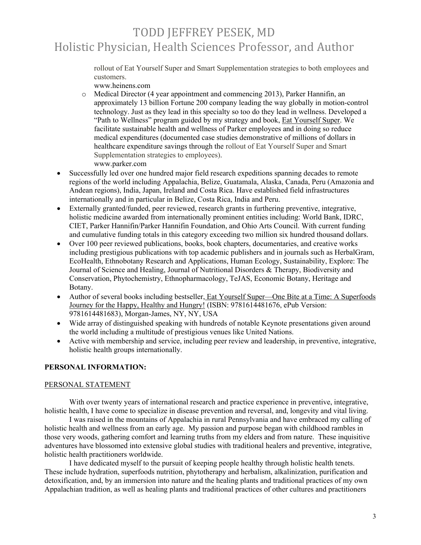rollout of Eat Yourself Super and Smart Supplementation strategies to both employees and customers.

www.heinens.com

- o Medical Director (4 year appointment and commencing 2013), Parker Hannifin, an approximately 13 billion Fortune 200 company leading the way globally in motion-control technology. Just as they lead in this specialty so too do they lead in wellness. Developed a "Path to Wellness" program guided by my strategy and book, **Eat Yourself Super**. We facilitate sustainable health and wellness of Parker employees and in doing so reduce medical expenditures (documented case studies demonstrative of millions of dollars in healthcare expenditure savings through the rollout of Eat Yourself Super and Smart Supplementation strategies to employees). www.parker.com
- Successfully led over one hundred major field research expeditions spanning decades to remote regions of the world including Appalachia, Belize, Guatamala, Alaska, Canada, Peru (Amazonia and Andean regions), India, Japan, Ireland and Costa Rica. Have established field infrastructures internationally and in particular in Belize, Costa Rica, India and Peru.
- Externally granted/funded, peer reviewed, research grants in furthering preventive, integrative, holistic medicine awarded from internationally prominent entities including: World Bank, IDRC, CIET, Parker Hannifin/Parker Hannifin Foundation, and Ohio Arts Council. With current funding and cumulative funding totals in this category exceeding two million six hundred thousand dollars.
- Over 100 peer reviewed publications, books, book chapters, documentaries, and creative works including prestigious publications with top academic publishers and in journals such as HerbalGram, EcoHealth, Ethnobotany Research and Applications, Human Ecology, Sustainability, Explore: The Journal of Science and Healing, Journal of Nutritional Disorders & Therapy, Biodiversity and Conservation, Phytochemistry, Ethnopharmacology, TeJAS, Economic Botany, Heritage and Botany.
- Author of several books including bestseller, Eat Yourself Super—One Bite at a Time: A Superfoods Journey for the Happy, Healthy and Hungry! (ISBN: 9781614481676, ePub Version: 9781614481683), Morgan-James, NY, NY, USA
- Wide array of distinguished speaking with hundreds of notable Keynote presentations given around the world including a multitude of prestigious venues like United Nations.
- Active with membership and service, including peer review and leadership, in preventive, integrative, holistic health groups internationally.

# **PERSONAL INFORMATION:**

### PERSONAL STATEMENT

With over twenty years of international research and practice experience in preventive, integrative, holistic health, I have come to specialize in disease prevention and reversal, and, longevity and vital living.

I was raised in the mountains of Appalachia in rural Pennsylvania and have embraced my calling of holistic health and wellness from an early age. My passion and purpose began with childhood rambles in those very woods, gathering comfort and learning truths from my elders and from nature. These inquisitive adventures have blossomed into extensive global studies with traditional healers and preventive, integrative, holistic health practitioners worldwide.

I have dedicated myself to the pursuit of keeping people healthy through holistic health tenets. These include hydration, superfoods nutrition, phytotherapy and herbalism, alkalinization, purification and detoxification, and, by an immersion into nature and the healing plants and traditional practices of my own Appalachian tradition, as well as healing plants and traditional practices of other cultures and practitioners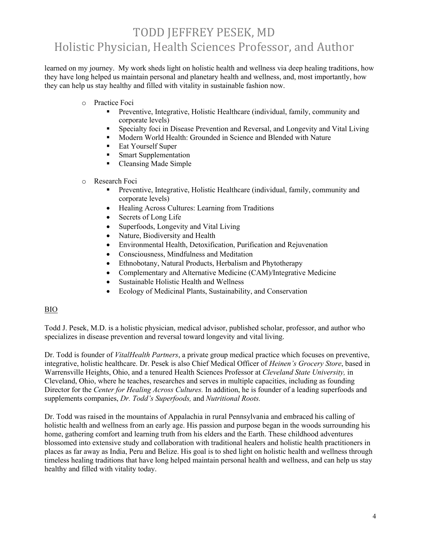learned on my journey. My work sheds light on holistic health and wellness via deep healing traditions, how they have long helped us maintain personal and planetary health and wellness, and, most importantly, how they can help us stay healthy and filled with vitality in sustainable fashion now.

- o Practice Foci
	- Preventive, Integrative, Holistic Healthcare (individual, family, community and corporate levels)
	- § Specialty foci in Disease Prevention and Reversal, and Longevity and Vital Living
	- Modern World Health: Grounded in Science and Blended with Nature
	- Eat Yourself Super
	- Smart Supplementation
	- Cleansing Made Simple
- o Research Foci
	- § Preventive, Integrative, Holistic Healthcare (individual, family, community and corporate levels)
	- Healing Across Cultures: Learning from Traditions
	- Secrets of Long Life
	- Superfoods, Longevity and Vital Living
	- Nature, Biodiversity and Health
	- Environmental Health, Detoxification, Purification and Rejuvenation
	- Consciousness, Mindfulness and Meditation
	- Ethnobotany, Natural Products, Herbalism and Phytotherapy
	- Complementary and Alternative Medicine (CAM)/Integrative Medicine
	- Sustainable Holistic Health and Wellness
	- Ecology of Medicinal Plants, Sustainability, and Conservation

# BIO

Todd J. Pesek, M.D. is a holistic physician, medical advisor, published scholar, professor, and author who specializes in disease prevention and reversal toward longevity and vital living.

Dr. Todd is founder of *VitalHealth Partners*, a private group medical practice which focuses on preventive, integrative, holistic healthcare. Dr. Pesek is also Chief Medical Officer of *Heinen's Grocery Store*, based in Warrensville Heights, Ohio, and a tenured Health Sciences Professor at *Cleveland State University,* in Cleveland, Ohio, where he teaches, researches and serves in multiple capacities, including as founding Director for the *Center for Healing Across Cultures.* In addition, he is founder of a leading superfoods and supplements companies, *Dr. Todd's Superfoods,* and *Nutritional Roots.* 

Dr. Todd was raised in the mountains of Appalachia in rural Pennsylvania and embraced his calling of holistic health and wellness from an early age. His passion and purpose began in the woods surrounding his home, gathering comfort and learning truth from his elders and the Earth. These childhood adventures blossomed into extensive study and collaboration with traditional healers and holistic health practitioners in places as far away as India, Peru and Belize. His goal is to shed light on holistic health and wellness through timeless healing traditions that have long helped maintain personal health and wellness, and can help us stay healthy and filled with vitality today.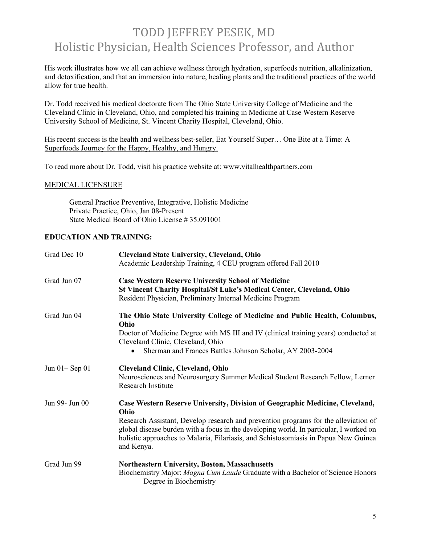His work illustrates how we all can achieve wellness through hydration, superfoods nutrition, alkalinization, and detoxification, and that an immersion into nature, healing plants and the traditional practices of the world allow for true health.

Dr. Todd received his medical doctorate from The Ohio State University College of Medicine and the Cleveland Clinic in Cleveland, Ohio, and completed his training in Medicine at Case Western Reserve University School of Medicine, St. Vincent Charity Hospital, Cleveland, Ohio.

His recent success is the health and wellness best-seller, Eat Yourself Super... One Bite at a Time: A Superfoods Journey for the Happy, Healthy, and Hungry.

To read more about Dr. Todd, visit his practice website at: www.vitalhealthpartners.com

### MEDICAL LICENSURE

General Practice Preventive, Integrative, Holistic Medicine Private Practice, Ohio, Jan 08-Present State Medical Board of Ohio License # 35.091001

# **EDUCATION AND TRAINING:**

| Grad Dec 10         | <b>Cleveland State University, Cleveland, Ohio</b><br>Academic Leadership Training, 4 CEU program offered Fall 2010                                                                                                                                                                                                                                                        |
|---------------------|----------------------------------------------------------------------------------------------------------------------------------------------------------------------------------------------------------------------------------------------------------------------------------------------------------------------------------------------------------------------------|
| Grad Jun 07         | <b>Case Western Reserve University School of Medicine</b><br>St Vincent Charity Hospital/St Luke's Medical Center, Cleveland, Ohio<br>Resident Physician, Preliminary Internal Medicine Program                                                                                                                                                                            |
| Grad Jun 04         | The Ohio State University College of Medicine and Public Health, Columbus,<br>Ohio<br>Doctor of Medicine Degree with MS III and IV (clinical training years) conducted at<br>Cleveland Clinic, Cleveland, Ohio<br>Sherman and Frances Battles Johnson Scholar, AY 2003-2004                                                                                                |
| Jun $01 -$ Sep $01$ | <b>Cleveland Clinic, Cleveland, Ohio</b><br>Neurosciences and Neurosurgery Summer Medical Student Research Fellow, Lerner<br>Research Institute                                                                                                                                                                                                                            |
| Jun 99- Jun 00      | Case Western Reserve University, Division of Geographic Medicine, Cleveland,<br>Ohio<br>Research Assistant, Develop research and prevention programs for the alleviation of<br>global disease burden with a focus in the developing world. In particular, I worked on<br>holistic approaches to Malaria, Filariasis, and Schistosomiasis in Papua New Guinea<br>and Kenya. |
| Grad Jun 99         | Northeastern University, Boston, Massachusetts<br>Biochemistry Major: Magna Cum Laude Graduate with a Bachelor of Science Honors<br>Degree in Biochemistry                                                                                                                                                                                                                 |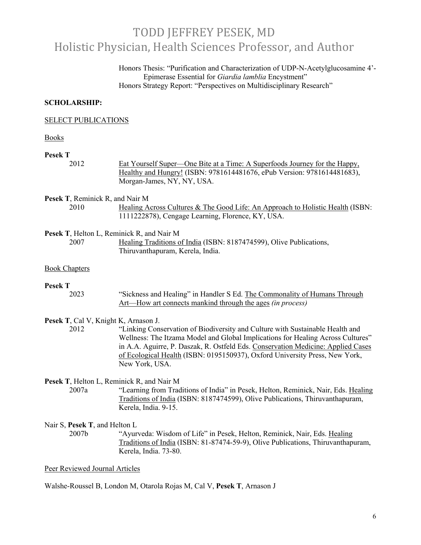Honors Thesis: "Purification and Characterization of UDP-N-Acetylglucosamine 4'- Epimerase Essential for *Giardia lamblia* Encystment" Honors Strategy Report: "Perspectives on Multidisciplinary Research"

### **SCHOLARSHIP:**

#### SELECT PUBLICATIONS

#### Books

### **Pesek T**

2012 Eat Yourself Super—One Bite at a Time: A Superfoods Journey for the Happy, Healthy and Hungry! (ISBN: 9781614481676, ePub Version: 9781614481683), Morgan-James, NY, NY, USA.

**Pesek T**, Reminick R, and Nair M

2010 Healing Across Cultures & The Good Life: An Approach to Holistic Health (ISBN: 1111222878), Cengage Learning, Florence, KY, USA.

**Pesek T**, Helton L, Reminick R, and Nair M

2007 Healing Traditions of India (ISBN: 8187474599), Olive Publications, Thiruvanthapuram, Kerela, India.

#### Book Chapters

#### **Pesek T**

2023 "Sickness and Healing" in Handler S Ed. The Commonality of Humans Through Art—How art connects mankind through the ages *(in process)*

### **Pesek T**, Cal V, Knight K, Arnason J.

2012 "Linking Conservation of Biodiversity and Culture with Sustainable Health and Wellness: The Itzama Model and Global Implications for Healing Across Cultures" in A.A. Aguirre, P. Daszak, R. Ostfeld Eds. Conservation Medicine: Applied Cases of Ecological Health (ISBN: 0195150937), Oxford University Press, New York, New York, USA.

### **Pesek T**, Helton L, Reminick R, and Nair M

2007a "Learning from Traditions of India" in Pesek, Helton, Reminick, Nair, Eds. Healing Traditions of India (ISBN: 8187474599), Olive Publications, Thiruvanthapuram, Kerela, India. 9-15.

### Nair S, **Pesek T**, and Helton L

2007b "Ayurveda: Wisdom of Life" in Pesek, Helton, Reminick, Nair, Eds. Healing Traditions of India (ISBN: 81-87474-59-9), Olive Publications, Thiruvanthapuram, Kerela, India. 73-80.

#### Peer Reviewed Journal Articles

Walshe-Roussel B, London M, Otarola Rojas M, Cal V, **Pesek T**, Arnason J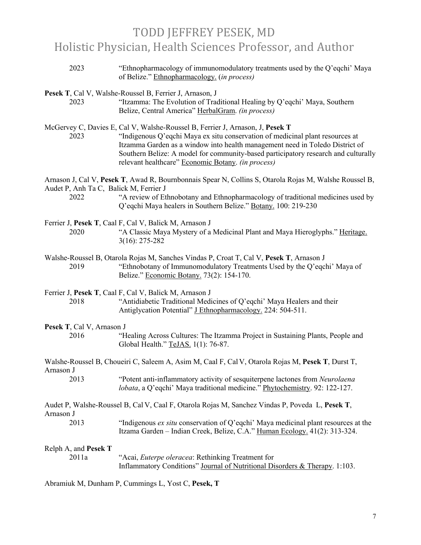| 2023      |                           | "Ethnopharmacology of immunomodulatory treatments used by the Q'eqchi' Maya<br>of Belize." Ethnopharmacology. (in process)                                                                                                                                                                                                                                                                 |
|-----------|---------------------------|--------------------------------------------------------------------------------------------------------------------------------------------------------------------------------------------------------------------------------------------------------------------------------------------------------------------------------------------------------------------------------------------|
| 2023      |                           | Pesek T, Cal V, Walshe-Roussel B, Ferrier J, Arnason, J<br>"Itzamma: The Evolution of Traditional Healing by Q'eqchi' Maya, Southern<br>Belize, Central America" HerbalGram. (in process)                                                                                                                                                                                                  |
| 2023      |                           | McGervey C, Davies E, Cal V, Walshe-Roussel B, Ferrier J, Arnason, J, Pesek T<br>"Indigenous Q'eqchi Maya ex situ conservation of medicinal plant resources at<br>Itzamma Garden as a window into health management need in Toledo District of<br>Southern Belize: A model for community-based participatory research and culturally<br>relevant healthcare" Economic Botany. (in process) |
| 2022      |                           | Arnason J, Cal V, Pesek T, Awad R, Bournbonnais Spear N, Collins S, Otarola Rojas M, Walshe Roussel B,<br>Audet P, Anh Ta C, Balick M, Ferrier J<br>"A review of Ethnobotany and Ethnopharmacology of traditional medicines used by                                                                                                                                                        |
|           |                           | Q'eqchi Maya healers in Southern Belize." Botany. 100: 219-230                                                                                                                                                                                                                                                                                                                             |
| 2020      |                           | Ferrier J, Pesek T, Caal F, Cal V, Balick M, Arnason J<br>"A Classic Maya Mystery of a Medicinal Plant and Maya Hieroglyphs." Heritage.<br>$3(16): 275 - 282$                                                                                                                                                                                                                              |
| 2019      |                           | Walshe-Roussel B, Otarola Rojas M, Sanches Vindas P, Croat T, Cal V, Pesek T, Arnason J<br>"Ethnobotany of Immunomodulatory Treatments Used by the Q'eqchi' Maya of<br>Belize." Economic Botany. 73(2): 154-170.                                                                                                                                                                           |
| 2018      |                           | Ferrier J, Pesek T, Caal F, Cal V, Balick M, Arnason J<br>"Antidiabetic Traditional Medicines of Q'eqchi' Maya Healers and their<br>Antiglycation Potential" J Ethnopharmacology. 224: 504-511.                                                                                                                                                                                            |
| 2016      | Pesek T, Cal V, Arnason J | "Healing Across Cultures: The Itzamma Project in Sustaining Plants, People and<br>Global Health." TeJAS. 1(1): 76-87.                                                                                                                                                                                                                                                                      |
| Arnason J |                           | Walshe-Roussel B, Choueiri C, Saleem A, Asim M, Caal F, Cal V, Otarola Rojas M, Pesek T, Durst T,                                                                                                                                                                                                                                                                                          |
| 2013      |                           | "Potent anti-inflammatory activity of sesquiterpene lactones from Neurolaena<br><i>lobata</i> , a Q'eqchi' Maya traditional medicine." Phytochemistry. 92: 122-127.                                                                                                                                                                                                                        |
| Arnason J |                           | Audet P, Walshe-Roussel B, Cal V, Caal F, Otarola Rojas M, Sanchez Vindas P, Poveda L, Pesek T,                                                                                                                                                                                                                                                                                            |
| 2013      |                           | "Indigenous ex situ conservation of Q'eqchi' Maya medicinal plant resources at the<br>Itzama Garden - Indian Creek, Belize, C.A." Human Ecology. 41(2): 313-324.                                                                                                                                                                                                                           |
|           | Relph A, and Pesek T      |                                                                                                                                                                                                                                                                                                                                                                                            |
|           | 2011a                     | "Acai, <i>Euterpe oleracea</i> : Rethinking Treatment for<br>Inflammatory Conditions" Journal of Nutritional Disorders & Therapy. 1:103.                                                                                                                                                                                                                                                   |

Abramiuk M, Dunham P, Cummings L, Yost C, **Pesek, T**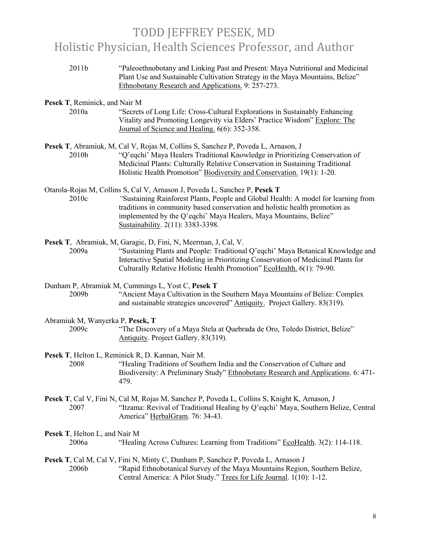2011b "Paleoethnobotany and Linking Past and Present: Maya Nutritional and Medicinal Plant Use and Sustainable Cultivation Strategy in the Maya Mountains, Belize" Ethnobotany Research and Applications. 9: 257-273.

### **Pesek T**, Reminick, and Nair M

- 2010a "Secrets of Long Life: Cross-Cultural Explorations in Sustainably Enhancing Vitality and Promoting Longevity via Elders' Practice Wisdom" Explore: The Journal of Science and Healing. 6(6): 352-358.
- **Pesek T**, Abramiuk, M, Cal V, Rojas M, Collins S, Sanchez P, Poveda L, Arnason, J 2010b "Q'eqchi' Maya Healers Traditional Knowledge in Prioritizing Conservation of Medicinal Plants: Culturally Relative Conservation in Sustaining Traditional Holistic Health Promotion" Biodiversity and Conservation. 19(1): 1-20.
- Otarola-Rojas M, Collins S, Cal V, Arnason J, Poveda L, Sanchez P, **Pesek T** 2010c *"*Sustaining Rainforest Plants, People and Global Health: A model for learning from traditions in community based conservation and holistic health promotion as implemented by the Q'eqchi' Maya Healers, Maya Mountains, Belize" Sustainability. 2(11): 3383-3398.
- **Pesek T**, Abramiuk, M, Garagic, D, Fini, N, Meerman, J, Cal, V. 2009a "Sustaining Plants and People: Traditional Q'eqchi' Maya Botanical Knowledge and Interactive Spatial Modeling in Prioritizing Conservation of Medicinal Plants for Culturally Relative Holistic Health Promotion" EcoHealth. 6(1): 79-90.

Dunham P, Abramiuk M, Cummings L, Yost C, **Pesek T**

2009b "Ancient Maya Cultivation in the Southern Maya Mountains of Belize: Complex and sustainable strategies uncovered" Antiquity. Project Gallery. 83(319).

Abramiuk M, Wanyerka P, **Pesek, T** 2009c "The Discovery of a Maya Stela at Quebrada de Oro, Toledo District, Belize" Antiquity. Project Gallery. 83(319).

**Pesek T**, Helton L, Reminick R, D. Kannan, Nair M.

2008 "Healing Traditions of Southern India and the Conservation of Culture and Biodiversity: A Preliminary Study" Ethnobotany Research and Applications. 6: 471- 479.

**Pesek T**, Cal V, Fini N, Cal M, Rojas M, Sanchez P, Poveda L, Collins S, Knight K, Arnason, J 2007 "Itzama: Revival of Traditional Healing by Q'eqchi' Maya, Southern Belize, Central America" HerbalGram. 76: 34-43.

**Pesek T**, Helton L, and Nair M

2006a "Healing Across Cultures: Learning from Traditions" EcoHealth. 3(2): 114-118.

**Pesek T**, Cal M, Cal V, Fini N, Minty C, Dunham P, Sanchez P, Poveda L, Arnason J 2006b "Rapid Ethnobotanical Survey of the Maya Mountains Region, Southern Belize, Central America: A Pilot Study." Trees for Life Journal. 1(10): 1-12.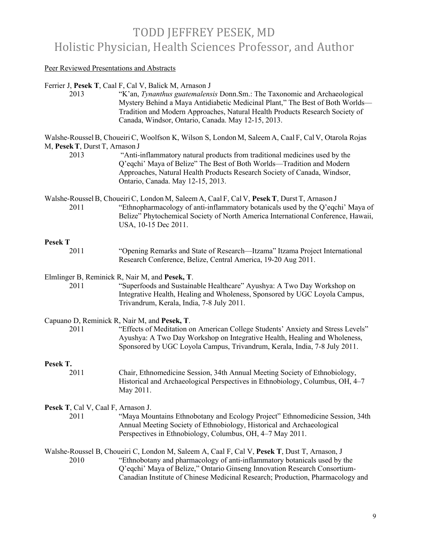### Peer Reviewed Presentations and Abstracts

### Ferrier J, **Pesek T**, Caal F, Cal V, Balick M, Arnason J

2013 "K'an, *Tynanthus guatemalensis* Donn.Sm.: The Taxonomic and Archaeological Mystery Behind a Maya Antidiabetic Medicinal Plant," The Best of Both Worlds— Tradition and Modern Approaches, Natural Health Products Research Society of Canada, Windsor, Ontario, Canada. May 12-15, 2013.

Walshe-Roussel B, Choueiri C, Woolfson K, Wilson S, London M, Saleem A, Caal F, Cal V, Otarola Rojas M, **PesekT**, Durst T, Arnason J

2013 "Anti-inflammatory natural products from traditional medicines used by the Q'eqchi' Maya of Belize" The Best of Both Worlds—Tradition and Modern Approaches, Natural Health Products Research Society of Canada, Windsor, Ontario, Canada. May 12-15, 2013.

Walshe-RousselB, ChoueiriC, London M, Saleem A, Caal F, Cal V, **PesekT**, Durst T, Arnason J 2011 "Ethnopharmacology of anti-inflammatory botanicals used by the Q'eqchi' Maya of Belize" Phytochemical Society of North America International Conference, Hawaii, USA, 10-15 Dec 2011.

### **Pesek T**

2011 "Opening Remarks and State of Research—Itzama" Itzama Project International Research Conference, Belize, Central America, 19-20 Aug 2011.

### Elmlinger B, Reminick R, Nair M, and **Pesek, T**.

2011 "Superfoods and Sustainable Healthcare" Ayushya: A Two Day Workshop on Integrative Health, Healing and Wholeness, Sponsored by UGC Loyola Campus, Trivandrum, Kerala, India, 7-8 July 2011.

### Capuano D, Reminick R, Nair M, and **Pesek, T**.

2011 "Effects of Meditation on American College Students' Anxiety and Stress Levels" Ayushya: A Two Day Workshop on Integrative Health, Healing and Wholeness, Sponsored by UGC Loyola Campus, Trivandrum, Kerala, India, 7-8 July 2011.

### **Pesek T.**

2011 Chair, Ethnomedicine Session, 34th Annual Meeting Society of Ethnobiology, Historical and Archaeological Perspectives in Ethnobiology, Columbus, OH, 4–7 May 2011.

### **Pesek T**, Cal V, Caal F, Arnason J.

2011 "Maya Mountains Ethnobotany and Ecology Project" Ethnomedicine Session, 34th Annual Meeting Society of Ethnobiology, Historical and Archaeological Perspectives in Ethnobiology, Columbus, OH, 4–7 May 2011.

## Walshe-Roussel B, Choueiri C, London M, Saleem A, Caal F, Cal V, **Pesek T**, Dust T, Arnason, J 2010 "Ethnobotany and pharmacology of anti-inflammatory botanicals used by the Q'eqchi' Maya of Belize," Ontario Ginseng Innovation Research Consortium-Canadian Institute of Chinese Medicinal Research; Production, Pharmacology and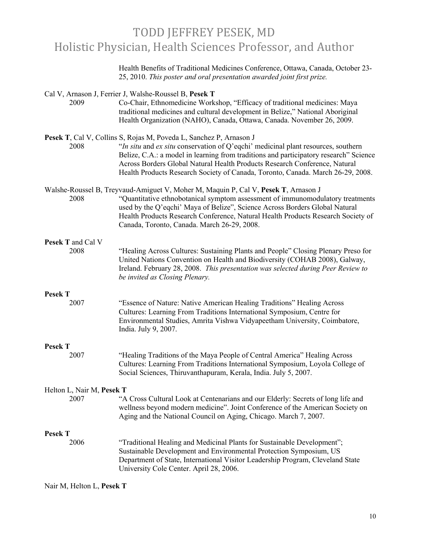Health Benefits of Traditional Medicines Conference, Ottawa, Canada, October 23- 25, 2010. *This poster and oral presentation awarded joint first prize.*

| 2009                              | Cal V, Arnason J, Ferrier J, Walshe-Roussel B, Pesek T<br>Co-Chair, Ethnomedicine Workshop, "Efficacy of traditional medicines: Maya<br>traditional medicines and cultural development in Belize," National Aboriginal<br>Health Organization (NAHO), Canada, Ottawa, Canada. November 26, 2009.                                                                                                                  |
|-----------------------------------|-------------------------------------------------------------------------------------------------------------------------------------------------------------------------------------------------------------------------------------------------------------------------------------------------------------------------------------------------------------------------------------------------------------------|
| 2008                              | Pesek T, Cal V, Collins S, Rojas M, Poveda L, Sanchez P, Arnason J<br>"In situ and ex situ conservation of Q'eqchi' medicinal plant resources, southern<br>Belize, C.A.: a model in learning from traditions and participatory research" Science<br>Across Borders Global Natural Health Products Research Conference, Natural<br>Health Products Research Society of Canada, Toronto, Canada. March 26-29, 2008. |
| 2008                              | Walshe-Roussel B, Treyvaud-Amiguet V, Moher M, Maquin P, Cal V, Pesek T, Arnason J<br>"Quantitative ethnobotanical symptom assessment of immunomodulatory treatments<br>used by the Q'eqchi' Maya of Belize", Science Across Borders Global Natural<br>Health Products Research Conference, Natural Health Products Research Society of<br>Canada, Toronto, Canada. March 26-29, 2008.                            |
| <b>Pesek T</b> and Cal V<br>2008  | "Healing Across Cultures: Sustaining Plants and People" Closing Plenary Preso for<br>United Nations Convention on Health and Biodiversity (COHAB 2008), Galway,<br>Ireland. February 28, 2008. This presentation was selected during Peer Review to<br>be invited as Closing Plenary.                                                                                                                             |
| <b>Pesek T</b><br>2007            | "Essence of Nature: Native American Healing Traditions" Healing Across<br>Cultures: Learning From Traditions International Symposium, Centre for<br>Environmental Studies, Amrita Vishwa Vidyapeetham University, Coimbatore,<br>India. July 9, 2007.                                                                                                                                                             |
| <b>Pesek T</b>                    |                                                                                                                                                                                                                                                                                                                                                                                                                   |
| 2007                              | "Healing Traditions of the Maya People of Central America" Healing Across<br>Cultures: Learning From Traditions International Symposium, Loyola College of<br>Social Sciences, Thiruvanthapuram, Kerala, India. July 5, 2007.                                                                                                                                                                                     |
| Helton L, Nair M, Pesek T<br>2007 | "A Cross Cultural Look at Centenarians and our Elderly: Secrets of long life and<br>wellness beyond modern medicine". Joint Conference of the American Society on<br>Aging and the National Council on Aging, Chicago. March 7, 2007.                                                                                                                                                                             |
| <b>Pesek T</b><br>2006            | "Traditional Healing and Medicinal Plants for Sustainable Development";<br>Sustainable Development and Environmental Protection Symposium, US<br>Department of State, International Visitor Leadership Program, Cleveland State<br>University Cole Center. April 28, 2006.                                                                                                                                        |

Nair M, Helton L, **Pesek T**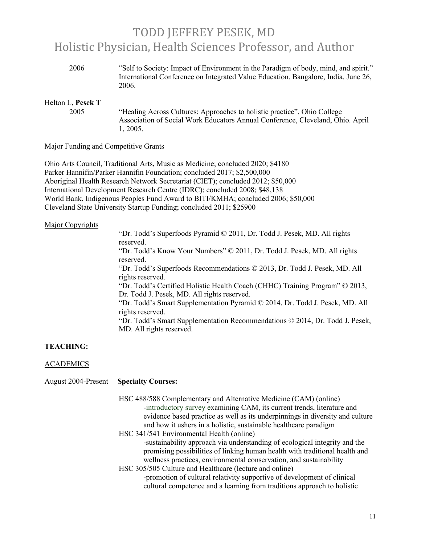| 2006 | "Self to Society: Impact of Environment in the Paradigm of body, mind, and spirit." |
|------|-------------------------------------------------------------------------------------|
|      | International Conference on Integrated Value Education. Bangalore, India. June 26,  |
|      | 2006.                                                                               |

## Helton L, **Pesek T**

2005 "Healing Across Cultures: Approaches to holistic practice". Ohio College Association of Social Work Educators Annual Conference, Cleveland, Ohio. April 1, 2005.

### Major Funding and Competitive Grants

Ohio Arts Council, Traditional Arts, Music as Medicine; concluded 2020; \$4180 Parker Hannifin/Parker Hannifin Foundation; concluded 2017; \$2,500,000 Aboriginal Health Research Network Secretariat (CIET); concluded 2012; \$50,000 International Development Research Centre (IDRC); concluded 2008; \$48,138 World Bank, Indigenous Peoples Fund Award to BITI/KMHA; concluded 2006; \$50,000 Cleveland State University Startup Funding; concluded 2011; \$25900

### Major Copyrights

"Dr. Todd's Superfoods Pyramid © 2011, Dr. Todd J. Pesek, MD. All rights reserved. "Dr. Todd's Know Your Numbers" © 2011, Dr. Todd J. Pesek, MD. All rights reserved. "Dr. Todd's Superfoods Recommendations © 2013, Dr. Todd J. Pesek, MD. All rights reserved. "Dr. Todd's Certified Holistic Health Coach (CHHC) Training Program" © 2013, Dr. Todd J. Pesek, MD. All rights reserved. "Dr. Todd's Smart Supplementation Pyramid © 2014, Dr. Todd J. Pesek, MD. All rights reserved. "Dr. Todd's Smart Supplementation Recommendations © 2014, Dr. Todd J. Pesek, MD. All rights reserved.

# **TEACHING:**

### ACADEMICS

| <b>August 2004-Present</b> | <b>Specialty Courses:</b>                                                                                                                                                                                                                                                                                                                                                                                                                                                                                                                                                                                                                                                                                                                                                                         |
|----------------------------|---------------------------------------------------------------------------------------------------------------------------------------------------------------------------------------------------------------------------------------------------------------------------------------------------------------------------------------------------------------------------------------------------------------------------------------------------------------------------------------------------------------------------------------------------------------------------------------------------------------------------------------------------------------------------------------------------------------------------------------------------------------------------------------------------|
|                            | HSC 488/588 Complementary and Alternative Medicine (CAM) (online)<br>-introductory survey examining CAM, its current trends, literature and<br>evidence based practice as well as its underpinnings in diversity and culture<br>and how it ushers in a holistic, sustainable healthcare paradigm<br>HSC 341/541 Environmental Health (online)<br>-sustainability approach via understanding of ecological integrity and the<br>promising possibilities of linking human health with traditional health and<br>wellness practices, environmental conservation, and sustainability<br>HSC 305/505 Culture and Healthcare (lecture and online)<br>-promotion of cultural relativity supportive of development of clinical<br>cultural competence and a learning from traditions approach to holistic |
|                            |                                                                                                                                                                                                                                                                                                                                                                                                                                                                                                                                                                                                                                                                                                                                                                                                   |